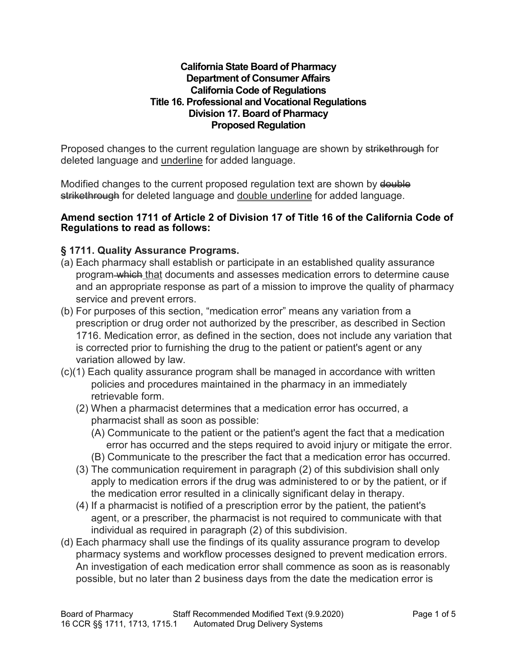#### **California State Board of Pharmacy Department of Consumer Affairs California Code of Regulations Title 16. Professional and Vocational Regulations Division 17. Board of Pharmacy Proposed Regulation**

Proposed changes to the current regulation language are shown by strikethrough for deleted language and underline for added language.

Modified changes to the current proposed regulation text are shown by **double** strikethrough for deleted language and double underline for added language.

#### **Amend section 1711 of Article 2 of Division 17 of Title 16 of the California Code of Regulations to read as follows:**

### **§ 1711. Quality Assurance Programs.**

- (a) Each pharmacy shall establish or participate in an established quality assurance program which that documents and assesses medication errors to determine cause and an appropriate response as part of a mission to improve the quality of pharmacy service and prevent errors.
- (b) For purposes of this section, "medication error" means any variation from a prescription or drug order not authorized by the prescriber, as described in Section 1716. Medication error, as defined in the section, does not include any variation that is corrected prior to furnishing the drug to the patient or patient's agent or any variation allowed by law.
- (c)(1) Each quality assurance program shall be managed in accordance with written policies and procedures maintained in the pharmacy in an immediately retrievable form.
	- (2) When a pharmacist determines that a medication error has occurred, a pharmacist shall as soon as possible:
		- (A) Communicate to the patient or the patient's agent the fact that a medication error has occurred and the steps required to avoid injury or mitigate the error.
		- (B) Communicate to the prescriber the fact that a medication error has occurred.
	- (3) The communication requirement in paragraph (2) of this subdivision shall only apply to medication errors if the drug was administered to or by the patient, or if the medication error resulted in a clinically significant delay in therapy.
	- (4) If a pharmacist is notified of a prescription error by the patient, the patient's agent, or a prescriber, the pharmacist is not required to communicate with that individual as required in paragraph (2) of this subdivision.
- (d) Each pharmacy shall use the findings of its quality assurance program to develop pharmacy systems and workflow processes designed to prevent medication errors. An investigation of each medication error shall commence as soon as is reasonably possible, but no later than 2 business days from the date the medication error is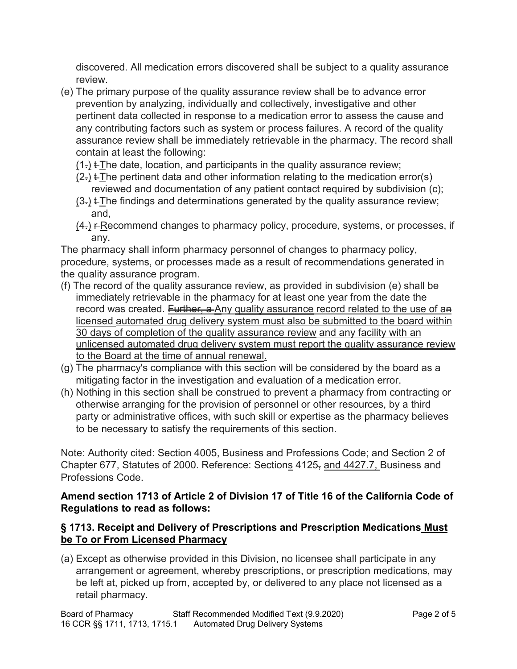discovered. All medication errors discovered shall be subject to a quality assurance review.

- (e) The primary purpose of the quality assurance review shall be to advance error prevention by analyzing, individually and collectively, investigative and other pertinent data collected in response to a medication error to assess the cause and any contributing factors such as system or process failures. A record of the quality assurance review shall be immediately retrievable in the pharmacy. The record shall contain at least the following:
	- $(1)$ .  $\pm$ The date, location, and participants in the quality assurance review;
	- $(2)$  t-The pertinent data and other information relating to the medication error(s) reviewed and documentation of any patient contact required by subdivision (c);
	- $(3)$ .  $\pm$ The findings and determinations generated by the quality assurance review; and,
	- $(4)$  F-Recommend changes to pharmacy policy, procedure, systems, or processes, if any.

The pharmacy shall inform pharmacy personnel of changes to pharmacy policy, procedure, systems, or processes made as a result of recommendations generated in the quality assurance program.

- (f) The record of the quality assurance review, as provided in subdivision (e) shall be immediately retrievable in the pharmacy for at least one year from the date the record was created. Further, a Any quality assurance record related to the use of an licensed automated drug delivery system must also be submitted to the board within 30 days of completion of the quality assurance review and any facility with an unlicensed automated drug delivery system must report the quality assurance review to the Board at the time of annual renewal.
- (g) The pharmacy's compliance with this section will be considered by the board as a mitigating factor in the investigation and evaluation of a medication error.
- (h) Nothing in this section shall be construed to prevent a pharmacy from contracting or otherwise arranging for the provision of personnel or other resources, by a third party or administrative offices, with such skill or expertise as the pharmacy believes to be necessary to satisfy the requirements of this section.

Note: Authority cited: Section 4005, Business and Professions Code; and Section 2 of Chapter 677, Statutes of 2000. Reference: Sections 4125, and 4427.7, Business and Professions Code.

# **Amend section 1713 of Article 2 of Division 17 of Title 16 of the California Code of Regulations to read as follows:**

# **§ 1713. Receipt and Delivery of Prescriptions and Prescription Medications Must be To or From Licensed Pharmacy**

(a) Except as otherwise provided in this Division, no licensee shall participate in any arrangement or agreement, whereby prescriptions, or prescription medications, may be left at, picked up from, accepted by, or delivered to any place not licensed as a retail pharmacy.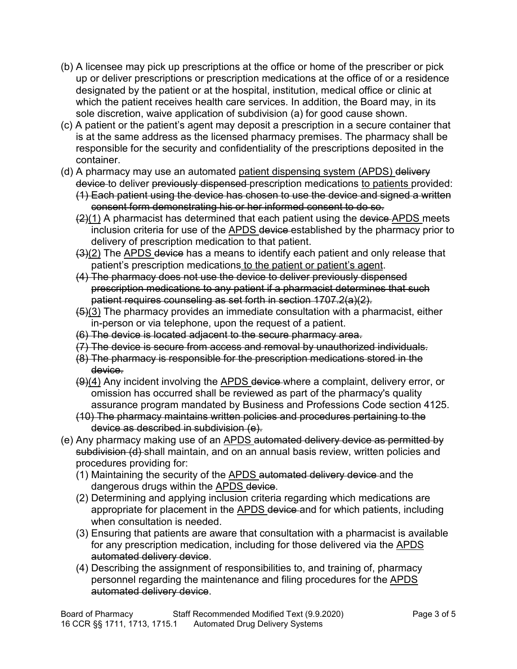- (b) A licensee may pick up prescriptions at the office or home of the prescriber or pick up or deliver prescriptions or prescription medications at the office of or a residence designated by the patient or at the hospital, institution, medical office or clinic at which the patient receives health care services. In addition, the Board may, in its sole discretion, waive application of subdivision (a) for good cause shown.
- (c) A patient or the patient's agent may deposit a prescription in a secure container that is at the same address as the licensed pharmacy premises. The pharmacy shall be responsible for the security and confidentiality of the prescriptions deposited in the container.
- (d) A pharmacy may use an automated patient dispensing system (APDS) delivery device to deliver previously dispensed prescription medications to patients provided:
	- (1) Each patient using the device has chosen to use the device and signed a written consent form demonstrating his or her informed consent to do so.
	- $(2)(1)$  A pharmacist has determined that each patient using the device APDS meets inclusion criteria for use of the APDS device established by the pharmacy prior to delivery of prescription medication to that patient.
	- $(3)(2)$  The APDS device has a means to identify each patient and only release that patient's prescription medications to the patient or patient's agent.
	- (4) The pharmacy does not use the device to deliver previously dispensed prescription medications to any patient if a pharmacist determines that such patient requires counseling as set forth in section 1707.2(a)(2).
	- $(5)(3)$  The pharmacy provides an immediate consultation with a pharmacist, either in-person or via telephone, upon the request of a patient.
	- (6) The device is located adjacent to the secure pharmacy area.
	- (7) The device is secure from access and removal by unauthorized individuals.
	- (8) The pharmacy is responsible for the prescription medications stored in the device.
	- (9)(4) Any incident involving the APDS device where a complaint, delivery error, or omission has occurred shall be reviewed as part of the pharmacy's quality assurance program mandated by Business and Professions Code section 4125.
	- (10) The pharmacy maintains written policies and procedures pertaining to the device as described in subdivision (e).
- (e) Any pharmacy making use of an **APDS** automated delivery device as permitted by subdivision (d) shall maintain, and on an annual basis review, written policies and procedures providing for:
	- (1) Maintaining the security of the APDS automated delivery device and the dangerous drugs within the APDS device.
	- (2) Determining and applying inclusion criteria regarding which medications are appropriate for placement in the APDS device and for which patients, including when consultation is needed.
	- (3) Ensuring that patients are aware that consultation with a pharmacist is available for any prescription medication, including for those delivered via the APDS automated delivery device.
	- (4) Describing the assignment of responsibilities to, and training of, pharmacy personnel regarding the maintenance and filing procedures for the APDS automated delivery device.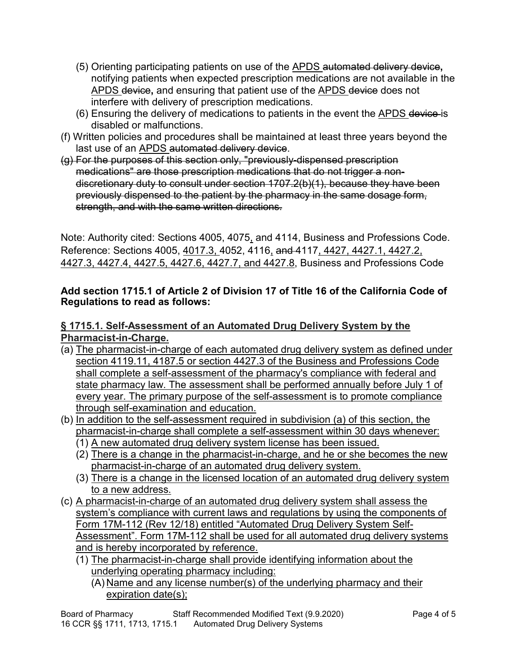- (5) Orienting participating patients on use of the APDS automated delivery device**,**  notifying patients when expected prescription medications are not available in the APDS device**,** and ensuring that patient use of the APDS device does not interfere with delivery of prescription medications.
- (6) Ensuring the delivery of medications to patients in the event the APDS device is disabled or malfunctions.
- (f) Written policies and procedures shall be maintained at least three years beyond the last use of an APDS automated delivery device.
- (g) For the purposes of this section only, "previously-dispensed prescription medications" are those prescription medications that do not trigger a nondiscretionary duty to consult under section 1707.2(b)(1), because they have been previously dispensed to the patient by the pharmacy in the same dosage form, strength, and with the same written directions.

Note: Authority cited: Sections 4005, 4075, and 4114, Business and Professions Code. Reference: Sections 4005, 4017.3, 4052, 4116, and 4117, 4427, 4427.1, 4427.2, 4427.3, 4427.4, 4427.5, 4427.6, 4427.7, and 4427.8, Business and Professions Code

### **Add section 1715.1 of Article 2 of Division 17 of Title 16 of the California Code of Regulations to read as follows:**

## **§ 1715.1. Self-Assessment of an Automated Drug Delivery System by the Pharmacist-in-Charge.**

- (a) The pharmacist-in-charge of each automated drug delivery system as defined under section 4119.11, 4187.5 or section 4427.3 of the Business and Professions Code shall complete a self-assessment of the pharmacy's compliance with federal and state pharmacy law. The assessment shall be performed annually before July 1 of every year. The primary purpose of the self-assessment is to promote compliance through self-examination and education.
- (b) In addition to the self-assessment required in subdivision (a) of this section, the pharmacist-in-charge shall complete a self-assessment within 30 days whenever: (1) A new automated drug delivery system license has been issued.
	- (2) There is a change in the pharmacist-in-charge, and he or she becomes the new pharmacist-in-charge of an automated drug delivery system.
	- (3) There is a change in the licensed location of an automated drug delivery system to a new address.
- (c) A pharmacist-in-charge of an automated drug delivery system shall assess the system's compliance with current laws and regulations by using the components of Form 17M-112 (Rev 12/18) entitled "Automated Drug Delivery System Self-Assessment". Form 17M-112 shall be used for all automated drug delivery systems and is hereby incorporated by reference.
	- (1) The pharmacist-in-charge shall provide identifying information about the underlying operating pharmacy including:
		- (A) Name and any license number(s) of the underlying pharmacy and their expiration date(s);